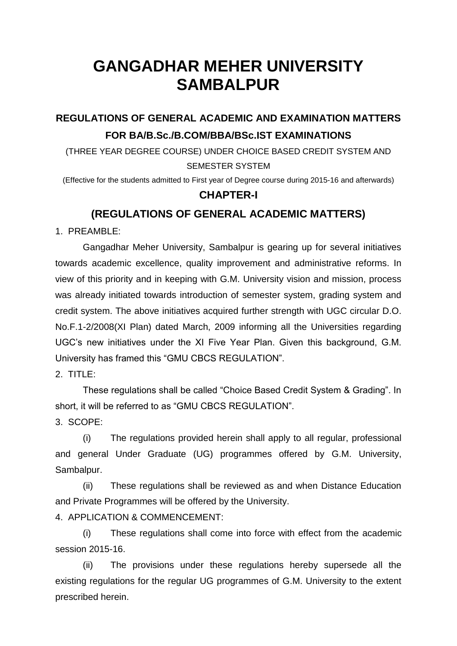# **GANGADHAR MEHER UNIVERSITY SAMBALPUR**

## **REGULATIONS OF GENERAL ACADEMIC AND EXAMINATION MATTERS FOR BA/B.Sc./B.COM/BBA/BSc.IST EXAMINATIONS**

(THREE YEAR DEGREE COURSE) UNDER CHOICE BASED CREDIT SYSTEM AND SEMESTER SYSTEM

(Effective for the students admitted to First year of Degree course during 2015-16 and afterwards)

#### **CHAPTER-I**

### **(REGULATIONS OF GENERAL ACADEMIC MATTERS)**

1. PREAMBLE:

Gangadhar Meher University, Sambalpur is gearing up for several initiatives towards academic excellence, quality improvement and administrative reforms. In view of this priority and in keeping with G.M. University vision and mission, process was already initiated towards introduction of semester system, grading system and credit system. The above initiatives acquired further strength with UGC circular D.O. No.F.1-2/2008(XI Plan) dated March, 2009 informing all the Universities regarding UGC"s new initiatives under the XI Five Year Plan. Given this background, G.M. University has framed this "GMU CBCS REGULATION".

2. TITLE:

These regulations shall be called "Choice Based Credit System & Grading". In short, it will be referred to as "GMU CBCS REGULATION".

3. SCOPE:

(i) The regulations provided herein shall apply to all regular, professional and general Under Graduate (UG) programmes offered by G.M. University, Sambalpur.

(ii) These regulations shall be reviewed as and when Distance Education and Private Programmes will be offered by the University.

4. APPLICATION & COMMENCEMENT:

(i) These regulations shall come into force with effect from the academic session 2015-16.

(ii) The provisions under these regulations hereby supersede all the existing regulations for the regular UG programmes of G.M. University to the extent prescribed herein.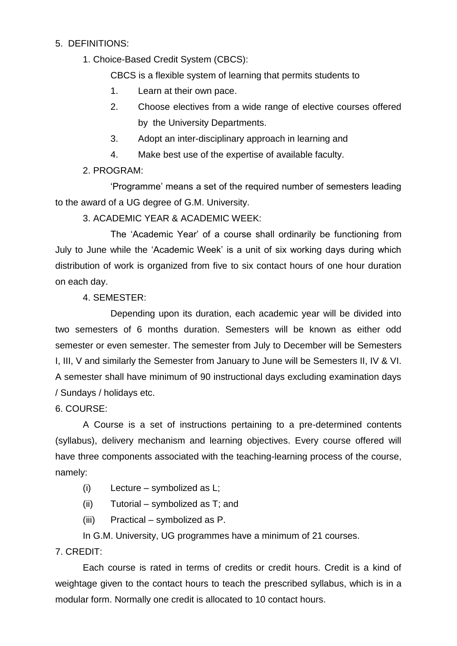#### 5. DEFINITIONS:

1. Choice-Based Credit System (CBCS):

CBCS is a flexible system of learning that permits students to

- 1. Learn at their own pace.
- 2. Choose electives from a wide range of elective courses offered by the University Departments.
- 3. Adopt an inter-disciplinary approach in learning and
- 4. Make best use of the expertise of available faculty.

#### 2. PROGRAM:

"Programme" means a set of the required number of semesters leading to the award of a UG degree of G.M. University.

#### 3. ACADEMIC YEAR & ACADEMIC WEEK:

The "Academic Year" of a course shall ordinarily be functioning from July to June while the "Academic Week" is a unit of six working days during which distribution of work is organized from five to six contact hours of one hour duration on each day.

#### 4. SEMESTER:

Depending upon its duration, each academic year will be divided into two semesters of 6 months duration. Semesters will be known as either odd semester or even semester. The semester from July to December will be Semesters I, III, V and similarly the Semester from January to June will be Semesters II, IV & VI. A semester shall have minimum of 90 instructional days excluding examination days / Sundays / holidays etc.

6. COURSE:

A Course is a set of instructions pertaining to a pre-determined contents (syllabus), delivery mechanism and learning objectives. Every course offered will have three components associated with the teaching-learning process of the course, namely:

- (i) Lecture symbolized as L;
- (ii) Tutorial symbolized as T; and
- (iii) Practical symbolized as P.

In G.M. University, UG programmes have a minimum of 21 courses.

#### 7. CREDIT:

Each course is rated in terms of credits or credit hours. Credit is a kind of weightage given to the contact hours to teach the prescribed syllabus, which is in a modular form. Normally one credit is allocated to 10 contact hours.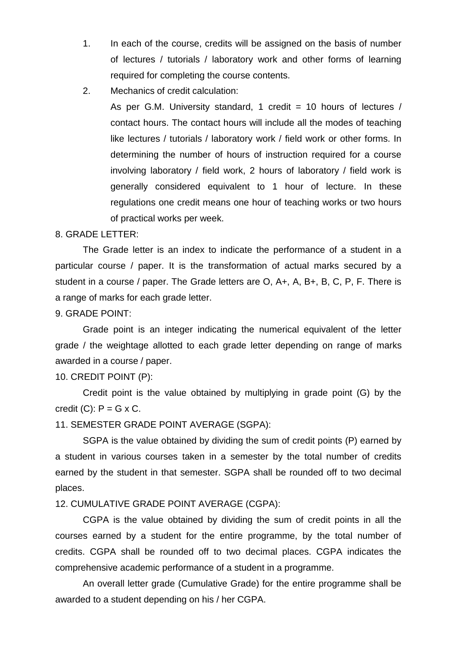- 1. In each of the course, credits will be assigned on the basis of number of lectures / tutorials / laboratory work and other forms of learning required for completing the course contents.
- 2. Mechanics of credit calculation:

As per G.M. University standard, 1 credit = 10 hours of lectures / contact hours. The contact hours will include all the modes of teaching like lectures / tutorials / laboratory work / field work or other forms. In determining the number of hours of instruction required for a course involving laboratory / field work, 2 hours of laboratory / field work is generally considered equivalent to 1 hour of lecture. In these regulations one credit means one hour of teaching works or two hours of practical works per week.

#### 8. GRADE LETTER:

The Grade letter is an index to indicate the performance of a student in a particular course / paper. It is the transformation of actual marks secured by a student in a course / paper. The Grade letters are O, A+, A, B+, B, C, P, F. There is a range of marks for each grade letter.

#### 9. GRADE POINT:

Grade point is an integer indicating the numerical equivalent of the letter grade / the weightage allotted to each grade letter depending on range of marks awarded in a course / paper.

#### 10. CREDIT POINT (P):

Credit point is the value obtained by multiplying in grade point (G) by the credit  $(C)$ :  $P = G \times C$ .

#### 11. SEMESTER GRADE POINT AVERAGE (SGPA):

SGPA is the value obtained by dividing the sum of credit points (P) earned by a student in various courses taken in a semester by the total number of credits earned by the student in that semester. SGPA shall be rounded off to two decimal places.

#### 12. CUMULATIVE GRADE POINT AVERAGE (CGPA):

CGPA is the value obtained by dividing the sum of credit points in all the courses earned by a student for the entire programme, by the total number of credits. CGPA shall be rounded off to two decimal places. CGPA indicates the comprehensive academic performance of a student in a programme.

An overall letter grade (Cumulative Grade) for the entire programme shall be awarded to a student depending on his / her CGPA.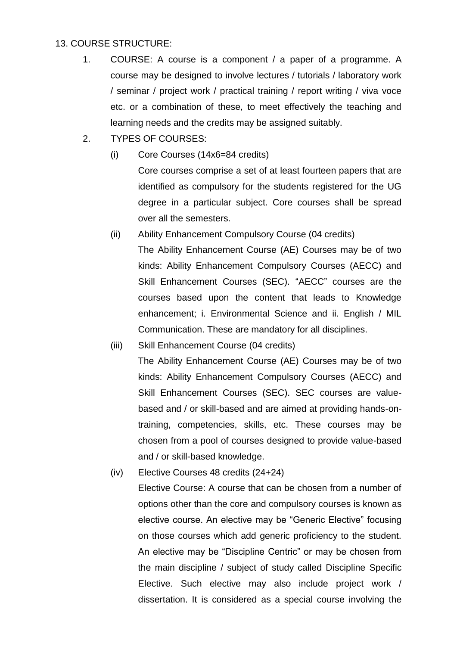#### 13. COURSE STRUCTURE:

- 1. COURSE: A course is a component / a paper of a programme. A course may be designed to involve lectures / tutorials / laboratory work / seminar / project work / practical training / report writing / viva voce etc. or a combination of these, to meet effectively the teaching and learning needs and the credits may be assigned suitably.
- 2. TYPES OF COURSES:
	- (i) Core Courses (14x6=84 credits)

Core courses comprise a set of at least fourteen papers that are identified as compulsory for the students registered for the UG degree in a particular subject. Core courses shall be spread over all the semesters.

- (ii) Ability Enhancement Compulsory Course (04 credits) The Ability Enhancement Course (AE) Courses may be of two kinds: Ability Enhancement Compulsory Courses (AECC) and Skill Enhancement Courses (SEC). "AECC" courses are the courses based upon the content that leads to Knowledge enhancement; i. Environmental Science and ii. English / MIL Communication. These are mandatory for all disciplines.
- (iii) Skill Enhancement Course (04 credits) The Ability Enhancement Course (AE) Courses may be of two kinds: Ability Enhancement Compulsory Courses (AECC) and Skill Enhancement Courses (SEC). SEC courses are valuebased and / or skill-based and are aimed at providing hands-ontraining, competencies, skills, etc. These courses may be chosen from a pool of courses designed to provide value-based and / or skill-based knowledge.
- (iv) Elective Courses 48 credits (24+24) Elective Course: A course that can be chosen from a number of options other than the core and compulsory courses is known as elective course. An elective may be "Generic Elective" focusing on those courses which add generic proficiency to the student. An elective may be "Discipline Centric" or may be chosen from the main discipline / subject of study called Discipline Specific Elective. Such elective may also include project work / dissertation. It is considered as a special course involving the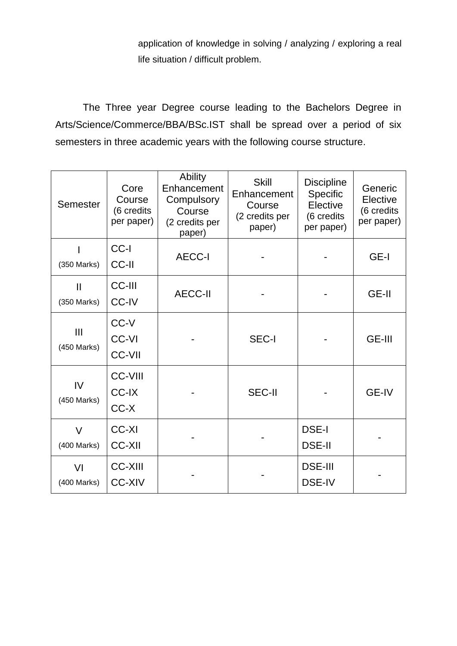application of knowledge in solving / analyzing / exploring a real life situation / difficult problem.

 The Three year Degree course leading to the Bachelors Degree in Arts/Science/Commerce/BBA/BSc.IST shall be spread over a period of six semesters in three academic years with the following course structure.

| Semester                    | Core<br>Course<br>(6 credits<br>per paper) | <b>Ability</b><br>Enhancement<br>Compulsory<br>Course<br>(2 credits per<br>paper) | <b>Skill</b><br>Enhancement<br>Course<br>(2 credits per<br>paper) | <b>Discipline</b><br><b>Specific</b><br>Elective<br>(6 credits<br>per paper) | Generic<br>Elective<br>(6 credits<br>per paper) |
|-----------------------------|--------------------------------------------|-----------------------------------------------------------------------------------|-------------------------------------------------------------------|------------------------------------------------------------------------------|-------------------------------------------------|
| (350 Marks)                 | CC-I<br>CC-II                              | <b>AECC-I</b>                                                                     |                                                                   |                                                                              | GE-I                                            |
| $\mathbf{I}$<br>(350 Marks) | <b>CC-III</b><br><b>CC-IV</b>              | <b>AECC-II</b>                                                                    |                                                                   |                                                                              | <b>GE-II</b>                                    |
| Ш<br>(450 Marks)            | CC-V<br><b>CC-VI</b><br><b>CC-VII</b>      |                                                                                   | <b>SEC-I</b>                                                      |                                                                              | <b>GE-III</b>                                   |
| IV<br>(450 Marks)           | <b>CC-VIII</b><br><b>CC-IX</b><br>CC-X     |                                                                                   | <b>SEC-II</b>                                                     |                                                                              | <b>GE-IV</b>                                    |
| $\vee$<br>(400 Marks)       | <b>CC-XI</b><br><b>CC-XII</b>              |                                                                                   |                                                                   | <b>DSE-I</b><br><b>DSE-II</b>                                                |                                                 |
| VI<br>(400 Marks)           | <b>CC-XIII</b><br><b>CC-XIV</b>            |                                                                                   |                                                                   | <b>DSE-III</b><br>DSE-IV                                                     |                                                 |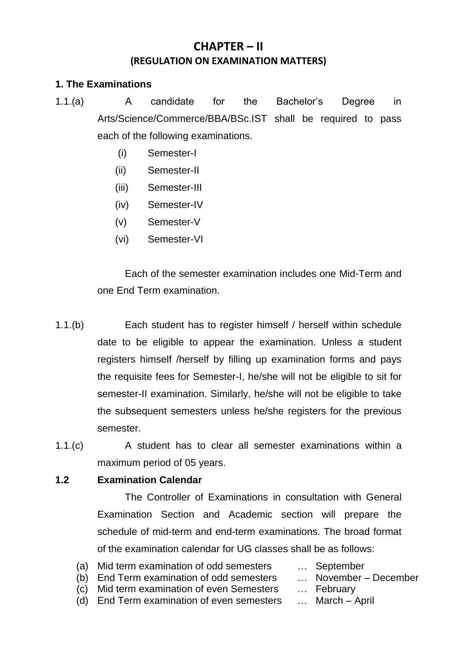# **CHAPTER – II (REGULATION ON EXAMINATION MATTERS)**

#### **1. The Examinations**

- 1.1.(a) A candidate for the Bachelor"s Degree in Arts/Science/Commerce/BBA/BSc.IST shall be required to pass each of the following examinations.
	- (i) Semester-I
	- (ii) Semester-II
	- (iii) Semester-III
	- (iv) Semester-IV
	- (v) Semester-V
	- (vi) Semester-VI

 Each of the semester examination includes one Mid-Term and one End Term examination.

- 1.1.(b) Each student has to register himself / herself within schedule date to be eligible to appear the examination. Unless a student registers himself /herself by filling up examination forms and pays the requisite fees for Semester-I, he/she will not be eligible to sit for semester-II examination. Similarly, he/she will not be eligible to take the subsequent semesters unless he/she registers for the previous semester.
- 1.1.(c) A student has to clear all semester examinations within a maximum period of 05 years.

#### **1.2 Examination Calendar**

 The Controller of Examinations in consultation with General Examination Section and Academic section will prepare the schedule of mid-term and end-term examinations. The broad format of the examination calendar for UG classes shall be as follows:

- (a) Mid term examination of odd semesters … September
- (b) End Term examination of odd semesters … November December
- (c) Mid term examination of even Semesters … February
- 
- -
- (d) End Term examination of even semesters … March April
-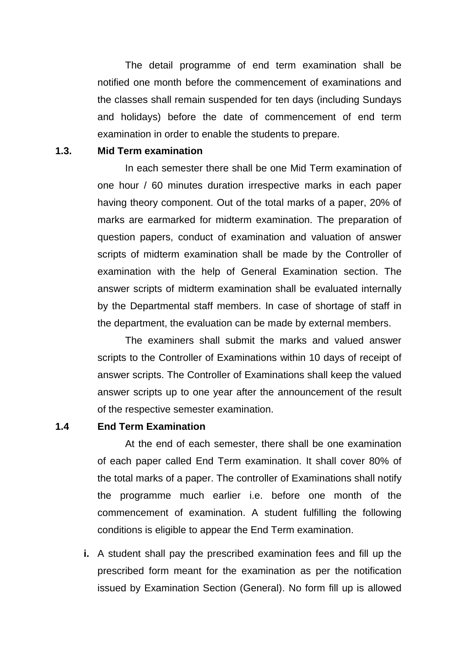The detail programme of end term examination shall be notified one month before the commencement of examinations and the classes shall remain suspended for ten days (including Sundays and holidays) before the date of commencement of end term examination in order to enable the students to prepare.

#### **1.3. Mid Term examination**

 In each semester there shall be one Mid Term examination of one hour / 60 minutes duration irrespective marks in each paper having theory component. Out of the total marks of a paper, 20% of marks are earmarked for midterm examination. The preparation of question papers, conduct of examination and valuation of answer scripts of midterm examination shall be made by the Controller of examination with the help of General Examination section. The answer scripts of midterm examination shall be evaluated internally by the Departmental staff members. In case of shortage of staff in the department, the evaluation can be made by external members.

 The examiners shall submit the marks and valued answer scripts to the Controller of Examinations within 10 days of receipt of answer scripts. The Controller of Examinations shall keep the valued answer scripts up to one year after the announcement of the result of the respective semester examination.

#### **1.4 End Term Examination**

 At the end of each semester, there shall be one examination of each paper called End Term examination. It shall cover 80% of the total marks of a paper. The controller of Examinations shall notify the programme much earlier i.e. before one month of the commencement of examination. A student fulfilling the following conditions is eligible to appear the End Term examination.

**i.** A student shall pay the prescribed examination fees and fill up the prescribed form meant for the examination as per the notification issued by Examination Section (General). No form fill up is allowed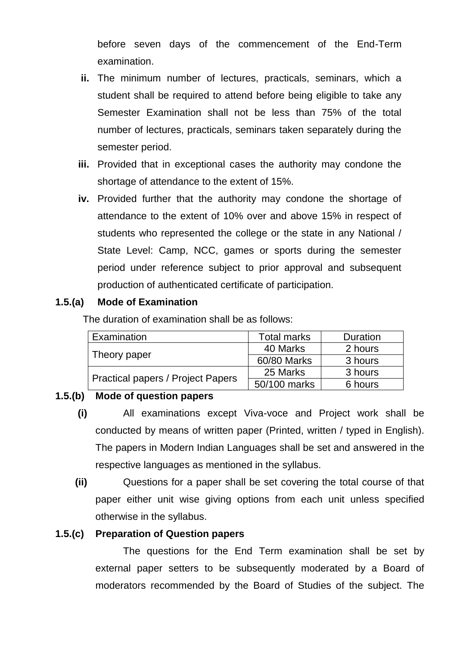before seven days of the commencement of the End-Term examination.

- **ii.** The minimum number of lectures, practicals, seminars, which a student shall be required to attend before being eligible to take any Semester Examination shall not be less than 75% of the total number of lectures, practicals, seminars taken separately during the semester period.
- **iii.** Provided that in exceptional cases the authority may condone the shortage of attendance to the extent of 15%.
- **iv.** Provided further that the authority may condone the shortage of attendance to the extent of 10% over and above 15% in respect of students who represented the college or the state in any National / State Level: Camp, NCC, games or sports during the semester period under reference subject to prior approval and subsequent production of authenticated certificate of participation.

#### **1.5.(a) Mode of Examination**

The duration of examination shall be as follows:

| Examination                              | Total marks  | Duration |  |
|------------------------------------------|--------------|----------|--|
|                                          | 40 Marks     | 2 hours  |  |
| Theory paper                             | 60/80 Marks  | 3 hours  |  |
|                                          | 25 Marks     | 3 hours  |  |
| <b>Practical papers / Project Papers</b> | 50/100 marks | 6 hours  |  |

#### **1.5.(b) Mode of question papers**

- **(i)** All examinations except Viva-voce and Project work shall be conducted by means of written paper (Printed, written / typed in English). The papers in Modern Indian Languages shall be set and answered in the respective languages as mentioned in the syllabus.
- **(ii)** Questions for a paper shall be set covering the total course of that paper either unit wise giving options from each unit unless specified otherwise in the syllabus.

#### **1.5.(c) Preparation of Question papers**

 The questions for the End Term examination shall be set by external paper setters to be subsequently moderated by a Board of moderators recommended by the Board of Studies of the subject. The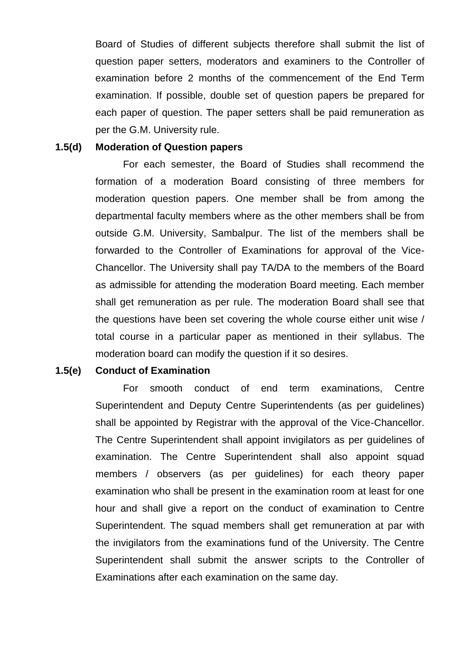Board of Studies of different subjects therefore shall submit the list of question paper setters, moderators and examiners to the Controller of examination before 2 months of the commencement of the End Term examination. If possible, double set of question papers be prepared for each paper of question. The paper setters shall be paid remuneration as per the G.M. University rule.

#### **1.5(d) Moderation of Question papers**

 For each semester, the Board of Studies shall recommend the formation of a moderation Board consisting of three members for moderation question papers. One member shall be from among the departmental faculty members where as the other members shall be from outside G.M. University, Sambalpur. The list of the members shall be forwarded to the Controller of Examinations for approval of the Vice-Chancellor. The University shall pay TA/DA to the members of the Board as admissible for attending the moderation Board meeting. Each member shall get remuneration as per rule. The moderation Board shall see that the questions have been set covering the whole course either unit wise / total course in a particular paper as mentioned in their syllabus. The moderation board can modify the question if it so desires.

#### **1.5(e) Conduct of Examination**

 For smooth conduct of end term examinations, Centre Superintendent and Deputy Centre Superintendents (as per guidelines) shall be appointed by Registrar with the approval of the Vice-Chancellor. The Centre Superintendent shall appoint invigilators as per guidelines of examination. The Centre Superintendent shall also appoint squad members / observers (as per guidelines) for each theory paper examination who shall be present in the examination room at least for one hour and shall give a report on the conduct of examination to Centre Superintendent. The squad members shall get remuneration at par with the invigilators from the examinations fund of the University. The Centre Superintendent shall submit the answer scripts to the Controller of Examinations after each examination on the same day.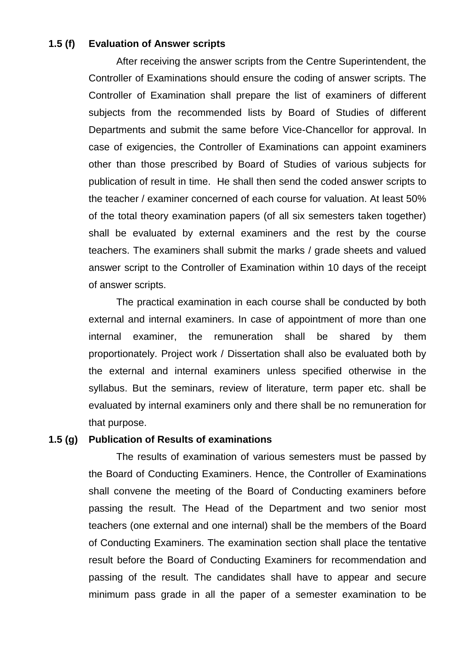#### **1.5 (f) Evaluation of Answer scripts**

 After receiving the answer scripts from the Centre Superintendent, the Controller of Examinations should ensure the coding of answer scripts. The Controller of Examination shall prepare the list of examiners of different subjects from the recommended lists by Board of Studies of different Departments and submit the same before Vice-Chancellor for approval. In case of exigencies, the Controller of Examinations can appoint examiners other than those prescribed by Board of Studies of various subjects for publication of result in time. He shall then send the coded answer scripts to the teacher / examiner concerned of each course for valuation. At least 50% of the total theory examination papers (of all six semesters taken together) shall be evaluated by external examiners and the rest by the course teachers. The examiners shall submit the marks / grade sheets and valued answer script to the Controller of Examination within 10 days of the receipt of answer scripts.

 The practical examination in each course shall be conducted by both external and internal examiners. In case of appointment of more than one internal examiner, the remuneration shall be shared by them proportionately. Project work / Dissertation shall also be evaluated both by the external and internal examiners unless specified otherwise in the syllabus. But the seminars, review of literature, term paper etc. shall be evaluated by internal examiners only and there shall be no remuneration for that purpose.

#### **1.5 (g) Publication of Results of examinations**

 The results of examination of various semesters must be passed by the Board of Conducting Examiners. Hence, the Controller of Examinations shall convene the meeting of the Board of Conducting examiners before passing the result. The Head of the Department and two senior most teachers (one external and one internal) shall be the members of the Board of Conducting Examiners. The examination section shall place the tentative result before the Board of Conducting Examiners for recommendation and passing of the result. The candidates shall have to appear and secure minimum pass grade in all the paper of a semester examination to be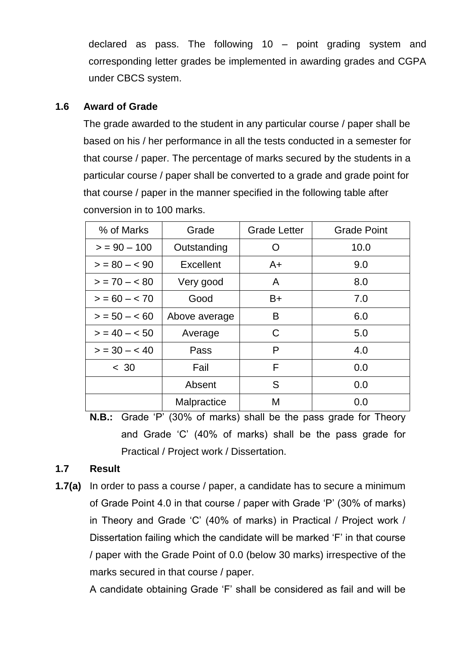declared as pass. The following 10 – point grading system and corresponding letter grades be implemented in awarding grades and CGPA under CBCS system.

#### **1.6 Award of Grade**

The grade awarded to the student in any particular course / paper shall be based on his / her performance in all the tests conducted in a semester for that course / paper. The percentage of marks secured by the students in a particular course / paper shall be converted to a grade and grade point for that course / paper in the manner specified in the following table after conversion in to 100 marks.

| % of Marks     | Grade         | <b>Grade Letter</b> | <b>Grade Point</b> |
|----------------|---------------|---------------------|--------------------|
| $>$ = 90 – 100 | Outstanding   | ∩                   | 10.0               |
| $> 80 - 80$    | Excellent     | $A+$                | 9.0                |
| $> 70 - 80$    | Very good     | A                   | 8.0                |
| $> 60 - 70$    | Good          | B+                  | 7.0                |
| $> 50 - 60$    | Above average | B                   | 6.0                |
| $> 40 - 50$    | Average       | C                   | 5.0                |
| $> 30 - 40$    | Pass          | P                   | 4.0                |
| < 30           | Fail          | F                   | 0.0                |
|                | Absent        | S                   | 0.0                |
|                | Malpractice   | М                   | 0.0                |

**N.B.:** Grade "P" (30% of marks) shall be the pass grade for Theory and Grade "C" (40% of marks) shall be the pass grade for Practical / Project work / Dissertation.

### **1.7 Result**

**1.7(a)** In order to pass a course / paper, a candidate has to secure a minimum of Grade Point 4.0 in that course / paper with Grade "P" (30% of marks) in Theory and Grade "C" (40% of marks) in Practical / Project work / Dissertation failing which the candidate will be marked "F" in that course / paper with the Grade Point of 0.0 (below 30 marks) irrespective of the marks secured in that course / paper.

A candidate obtaining Grade "F" shall be considered as fail and will be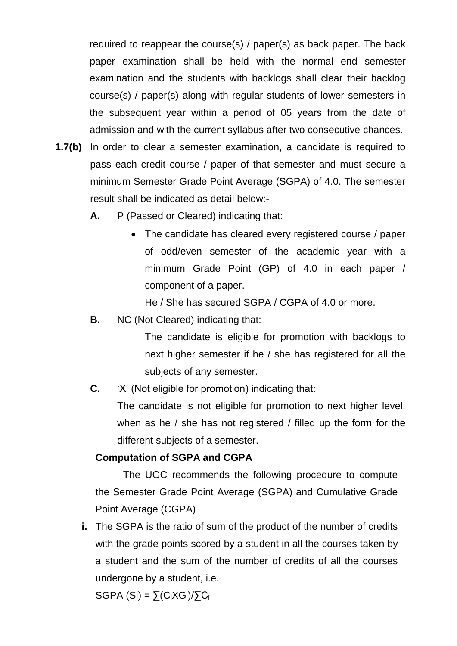required to reappear the course(s) / paper(s) as back paper. The back paper examination shall be held with the normal end semester examination and the students with backlogs shall clear their backlog course(s) / paper(s) along with regular students of lower semesters in the subsequent year within a period of 05 years from the date of admission and with the current syllabus after two consecutive chances.

- **1.7(b)** In order to clear a semester examination, a candidate is required to pass each credit course / paper of that semester and must secure a minimum Semester Grade Point Average (SGPA) of 4.0. The semester result shall be indicated as detail below:-
	- **A.** P (Passed or Cleared) indicating that:
		- The candidate has cleared every registered course / paper of odd/even semester of the academic year with a minimum Grade Point (GP) of 4.0 in each paper / component of a paper.

He / She has secured SGPA / CGPA of 4.0 or more.

**B.** NC (Not Cleared) indicating that:

The candidate is eligible for promotion with backlogs to next higher semester if he / she has registered for all the subjects of any semester.

**C.** "X" (Not eligible for promotion) indicating that:

The candidate is not eligible for promotion to next higher level, when as he / she has not registered / filled up the form for the different subjects of a semester.

#### **Computation of SGPA and CGPA**

 The UGC recommends the following procedure to compute the Semester Grade Point Average (SGPA) and Cumulative Grade Point Average (CGPA)

**i.** The SGPA is the ratio of sum of the product of the number of credits with the grade points scored by a student in all the courses taken by a student and the sum of the number of credits of all the courses undergone by a student, i.e.

SGPA (Si) =  $\sum (C_i X G_i)/\sum C_i$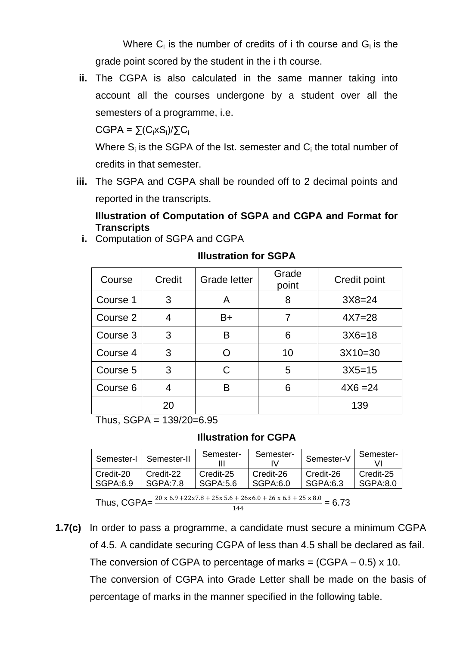Where  $C_i$  is the number of credits of i th course and  $G_i$  is the grade point scored by the student in the i th course.

**ii.** The CGPA is also calculated in the same manner taking into account all the courses undergone by a student over all the semesters of a programme, i.e.

 $CGPA = \sum (C_i \times S_i)/\sum C_i$ 

Where  $S_i$  is the SGPA of the Ist. semester and  $C_i$  the total number of credits in that semester.

**iii.** The SGPA and CGPA shall be rounded off to 2 decimal points and reported in the transcripts.

**Illustration of Computation of SGPA and CGPA and Format for Transcripts i.** Computation of SGPA and CGPA

 $\text{Course}$  Credit Grade letter Grade Credit point Course  $1 \mid 3 \mid A \mid 8 \mid 3X8=24$ Course  $2$  4  $\neq$  B+ 7  $\neq$  4X7=28 Course  $3 \mid 3 \mid B \mid 6 \mid 3 \times 6 = 18$ Course  $4 \mid 3 \mid 0 \mid 10 \mid 3X10=30$ Course  $5 \mid 3 \mid C \mid 5 \mid 3X5=15$  $Course 6 | 4 | B | 6 | 4X6 = 24$ 20 | 139

# **Illustration for SGPA**

Thus, SGPA = 139/20=6.95

#### **Illustration for CGPA**

| Semester-I | Semester-II | Semester- | Semester-  | Semester-V | Semester- |
|------------|-------------|-----------|------------|------------|-----------|
| Credit-20  | Credit-22   | Credit-25 | Credit-26  | Credit-26  | Credit-25 |
| l SGPA:6.9 | SGPA: 7.8   | SGPA:5.6  | l SGPA:6.0 | SGPA:6.3   | SGPA:8.0  |

Thus, CGPA= $\frac{20 \times 6.9 + 22 \times 7.8 + 25 \times 5.6 + 26 \times 6.0 + 26 \times 6.3 + 25 \times 8.0}{144}$ = 6.73

**1.7(c)** In order to pass a programme, a candidate must secure a minimum CGPA of 4.5. A candidate securing CGPA of less than 4.5 shall be declared as fail. The conversion of CGPA to percentage of marks =  $(CGPA - 0.5) \times 10$ . The conversion of CGPA into Grade Letter shall be made on the basis of percentage of marks in the manner specified in the following table.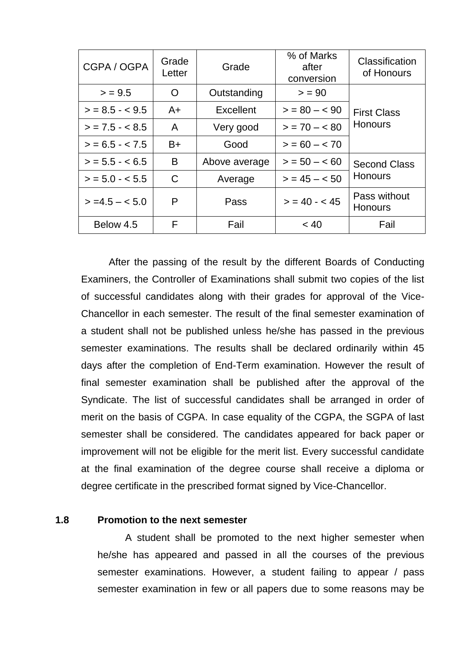| CGPA / OGPA       | Grade<br>Letter | Grade         | % of Marks<br>after<br>conversion | Classification<br>of Honours   |  |
|-------------------|-----------------|---------------|-----------------------------------|--------------------------------|--|
| > 9.5             | ∩               | Outstanding   | > 90                              |                                |  |
| $>$ = 8.5 - < 9.5 | $A+$            | Excellent     | $>$ = 80 - < 90                   | <b>First Class</b>             |  |
| $>$ = 7.5 - < 8.5 | A               | Very good     | $> 70 - 80$                       | <b>Honours</b>                 |  |
| $> 6.5 - 7.5$     | $B+$            | Good          | $> 60 - 70$                       |                                |  |
| $>$ = 5.5 - < 6.5 | B               | Above average | $> 50 - 60$                       | <b>Second Class</b>            |  |
| $>$ = 5.0 - < 5.5 | $\mathcal{C}$   | Average       | $> 45 - 50$                       | <b>Honours</b>                 |  |
| $> = 4.5 - 5.0$   | P               | Pass          | $> 40 - 45$                       | Pass without<br><b>Honours</b> |  |
| Below 4.5         | F               | Fail          | < 40                              | Fail                           |  |

 After the passing of the result by the different Boards of Conducting Examiners, the Controller of Examinations shall submit two copies of the list of successful candidates along with their grades for approval of the Vice-Chancellor in each semester. The result of the final semester examination of a student shall not be published unless he/she has passed in the previous semester examinations. The results shall be declared ordinarily within 45 days after the completion of End-Term examination. However the result of final semester examination shall be published after the approval of the Syndicate. The list of successful candidates shall be arranged in order of merit on the basis of CGPA. In case equality of the CGPA, the SGPA of last semester shall be considered. The candidates appeared for back paper or improvement will not be eligible for the merit list. Every successful candidate at the final examination of the degree course shall receive a diploma or degree certificate in the prescribed format signed by Vice-Chancellor.

#### **1.8 Promotion to the next semester**

 A student shall be promoted to the next higher semester when he/she has appeared and passed in all the courses of the previous semester examinations. However, a student failing to appear / pass semester examination in few or all papers due to some reasons may be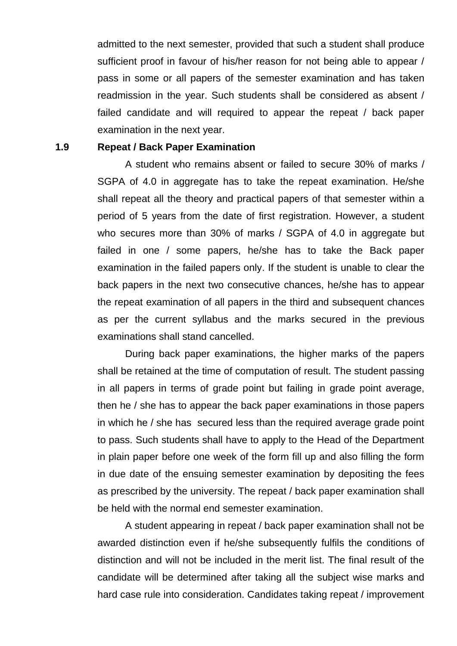admitted to the next semester, provided that such a student shall produce sufficient proof in favour of his/her reason for not being able to appear / pass in some or all papers of the semester examination and has taken readmission in the year. Such students shall be considered as absent / failed candidate and will required to appear the repeat / back paper examination in the next year.

#### **1.9 Repeat / Back Paper Examination**

 A student who remains absent or failed to secure 30% of marks / SGPA of 4.0 in aggregate has to take the repeat examination. He/she shall repeat all the theory and practical papers of that semester within a period of 5 years from the date of first registration. However, a student who secures more than 30% of marks / SGPA of 4.0 in aggregate but failed in one / some papers, he/she has to take the Back paper examination in the failed papers only. If the student is unable to clear the back papers in the next two consecutive chances, he/she has to appear the repeat examination of all papers in the third and subsequent chances as per the current syllabus and the marks secured in the previous examinations shall stand cancelled.

 During back paper examinations, the higher marks of the papers shall be retained at the time of computation of result. The student passing in all papers in terms of grade point but failing in grade point average, then he / she has to appear the back paper examinations in those papers in which he / she has secured less than the required average grade point to pass. Such students shall have to apply to the Head of the Department in plain paper before one week of the form fill up and also filling the form in due date of the ensuing semester examination by depositing the fees as prescribed by the university. The repeat / back paper examination shall be held with the normal end semester examination.

 A student appearing in repeat / back paper examination shall not be awarded distinction even if he/she subsequently fulfils the conditions of distinction and will not be included in the merit list. The final result of the candidate will be determined after taking all the subject wise marks and hard case rule into consideration. Candidates taking repeat / improvement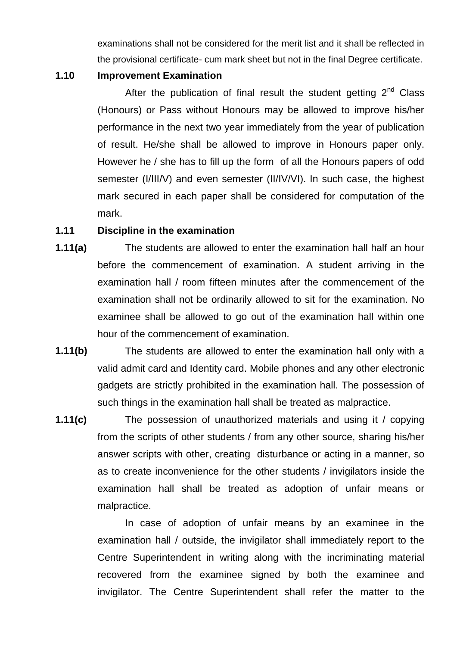examinations shall not be considered for the merit list and it shall be reflected in the provisional certificate- cum mark sheet but not in the final Degree certificate.

#### **1.10 Improvement Examination**

After the publication of final result the student getting  $2<sup>nd</sup>$  Class (Honours) or Pass without Honours may be allowed to improve his/her performance in the next two year immediately from the year of publication of result. He/she shall be allowed to improve in Honours paper only. However he / she has to fill up the form of all the Honours papers of odd semester (I/III/V) and even semester (II/IV/VI). In such case, the highest mark secured in each paper shall be considered for computation of the mark.

#### **1.11 Discipline in the examination**

- **1.11(a)** The students are allowed to enter the examination hall half an hour before the commencement of examination. A student arriving in the examination hall / room fifteen minutes after the commencement of the examination shall not be ordinarily allowed to sit for the examination. No examinee shall be allowed to go out of the examination hall within one hour of the commencement of examination.
- **1.11(b)** The students are allowed to enter the examination hall only with a valid admit card and Identity card. Mobile phones and any other electronic gadgets are strictly prohibited in the examination hall. The possession of such things in the examination hall shall be treated as malpractice.
- **1.11(c)** The possession of unauthorized materials and using it / copying from the scripts of other students / from any other source, sharing his/her answer scripts with other, creating disturbance or acting in a manner, so as to create inconvenience for the other students / invigilators inside the examination hall shall be treated as adoption of unfair means or malpractice.

 In case of adoption of unfair means by an examinee in the examination hall / outside, the invigilator shall immediately report to the Centre Superintendent in writing along with the incriminating material recovered from the examinee signed by both the examinee and invigilator. The Centre Superintendent shall refer the matter to the